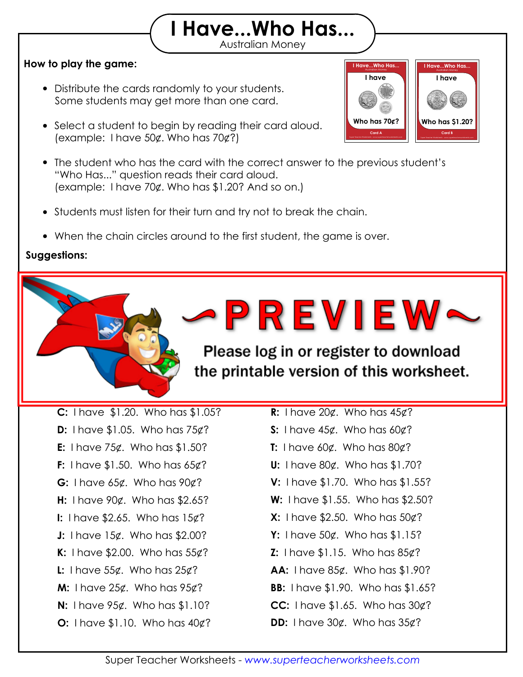## Australian Money **I Have...Who Has...**

### **How to play the game:**

- Distribute the cards randomly to your students. Some students may get more than one card.
- Select a student to begin by reading their card aloud. (example: I have 50¢. Who has 70¢?)
- The student who has the card with the correct answer to the previous student's "Who Has..." question reads their card aloud. (example: I have 70¢. Who has \$1.20? And so on.)

Print out the "I Have, Who Has" flashcards on card stock and laminate them so they will

 Practice the game once with your students so they understand how the game works,  $\sim$  1.9 Minutes, 5 minutes, 5 minutes, 5 minutes, 5 minutes, 5 minutes, 5 minutes, 5 minutes, 5 minutes, 5 minutes, 5 minutes, 5 minutes, 5 minutes, 5 minutes, 5 minutes, 5 minutes, 5 minutes, 5 minutes, 5 minutes, 5 min  $\sim$  time you challenge you choose. Challenge your students the timer game before the timer goes of  $\sim$ 

- Students must listen for their turn and try not to break the chain.
- When the chain circles around to the first student, the game is over.

#### **Suggestions:**

**Answer Chain:**

last for many years to come.

Please log in or register to download the printable version of this worksheet. **A:** I have 35¢. Who has 70¢?

**I Have...Who Has...**

**Australian Money I Have...Who Has...**

**I have**

Super Teacher Worksheets - *www.superteacherworksheets.com* **Card B**

**Who has \$1.20?**

**I have**

Super Teacher Worksheets - *www.superteacherworksheets.com* **Card A**

**Who has 70¢?**

**D:** I have \$1.05. Who has 75¢? **F:** I have \$1.50. Who has 65¢? **H:** I have 90¢. Who has \$2.65? **J:** I have 15¢. Who has \$2.00? **L:** I have 55¢. Who has 25¢? **M:** I have 25¢. Who has 95¢? **O:** I have \$1.10. Who has 40¢? **C:** I have \$1.20. Who has \$1.05? **E:** I have 75¢. Who has \$1.50? **G:** I have 65¢. Who has 90¢? **I:** I have \$2.65. Who has 15¢? **K:** I have \$2.00. Who has 55¢? **N:** I have 95¢. Who has \$1.10?

**B:** I have 100 Å

- **R:** I have 20¢. Who has 45¢?
- **S:** I have 45¢. Who has 60¢?
- **T:** I have 60¢. Who has 80¢?
- **U:** I have 80¢. Who has \$1.70?
- **V:** I have \$1.70. Who has \$1.55?
- **W:** I have \$1.55. Who has \$2.50?
- **X:** I have \$2.50. Who has 50¢?
- **Y:** I have 50¢. Who has \$1.15?
- **Z:** I have \$1.15. Who has 85¢?
- **AA:** I have 85¢. Who has \$1.90?
- **BB:** I have \$1.90. Who has \$1.65?
- **CC:** I have \$1.65. Who has 30¢?
- **DD:** I have 30¢. Who has 35¢?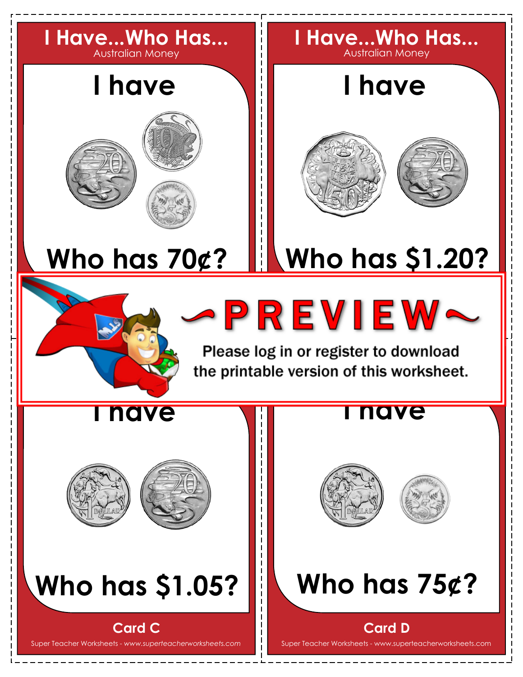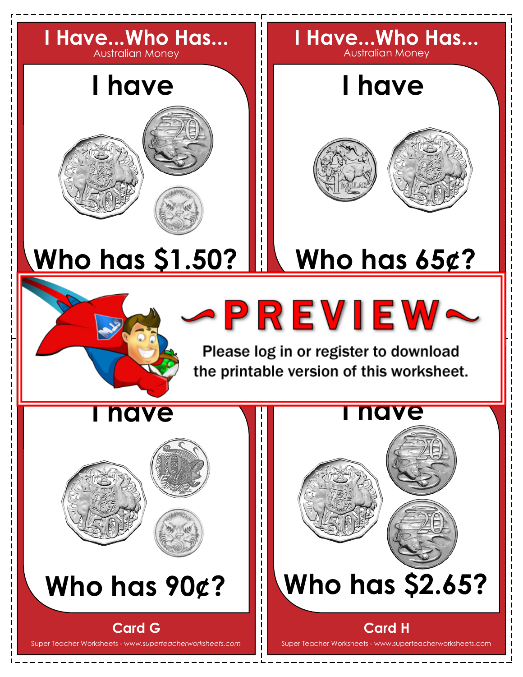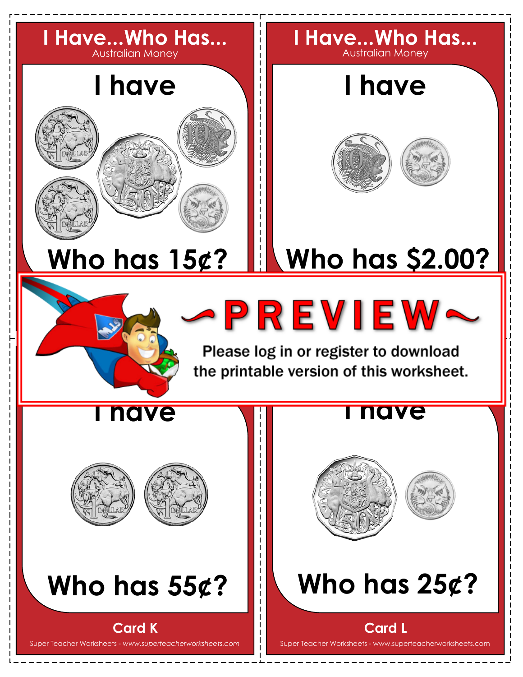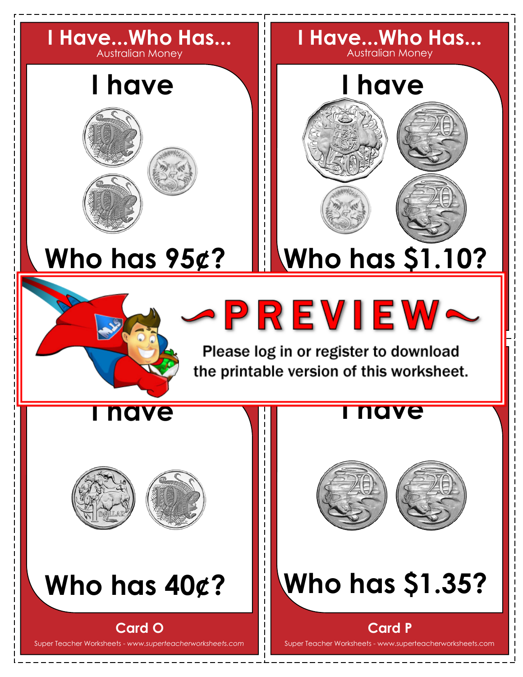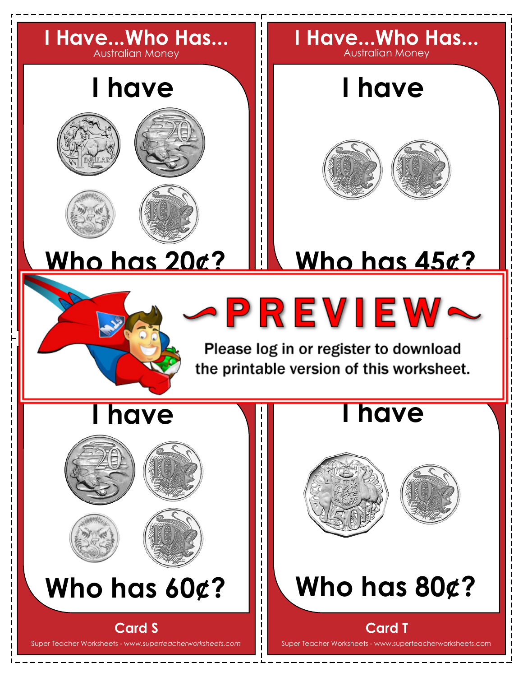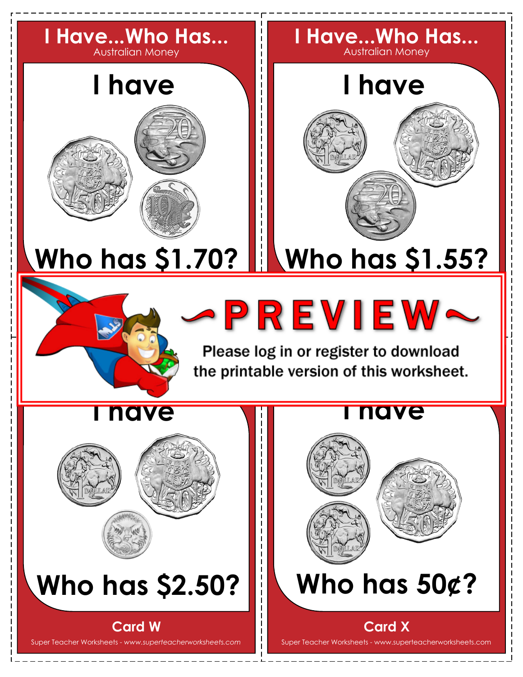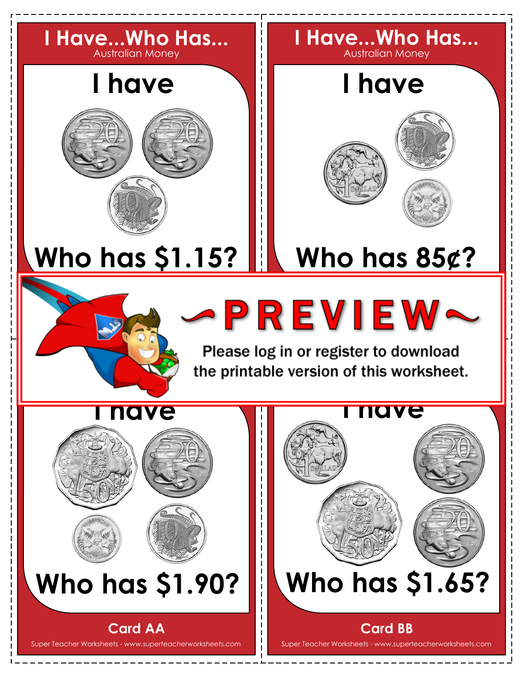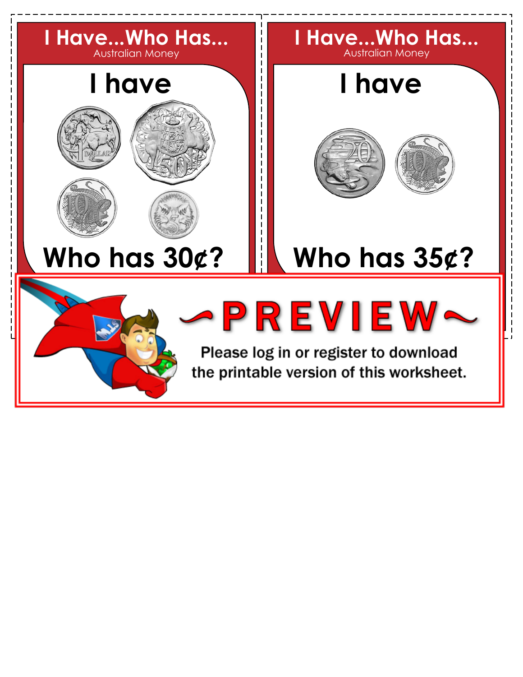